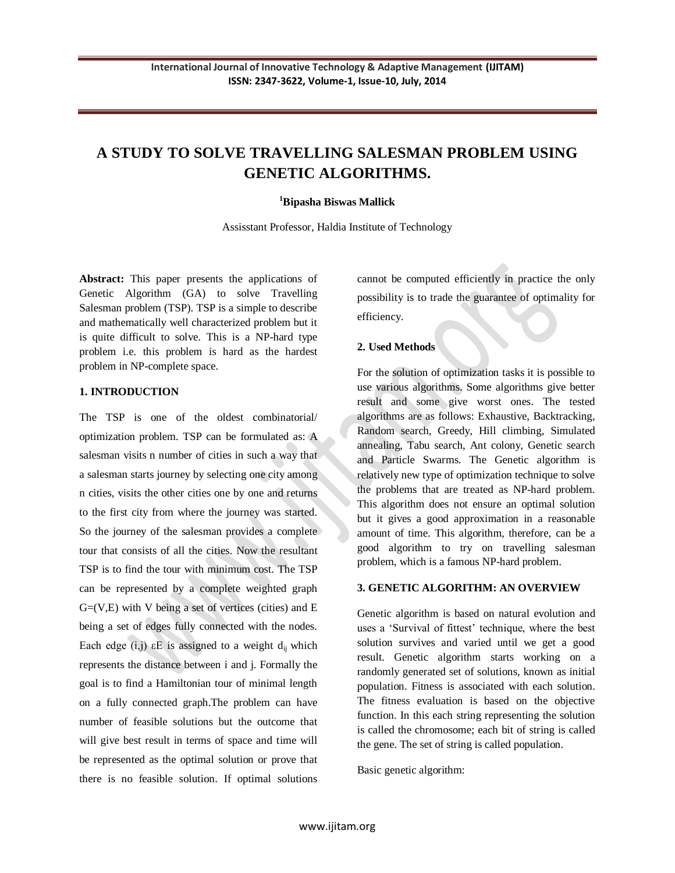# **A STUDY TO SOLVE TRAVELLING SALESMAN PROBLEM USING GENETIC ALGORITHMS.**

#### **<sup>1</sup>Bipasha Biswas Mallick**

Assisstant Professor, Haldia Institute of Technology

**Abstract:** This paper presents the applications of Genetic Algorithm (GA) to solve Travelling Salesman problem (TSP). TSP is a simple to describe and mathematically well characterized problem but it is quite difficult to solve. This is a NP-hard type problem i.e. this problem is hard as the hardest problem in NP-complete space.

#### **1. INTRODUCTION**

The TSP is one of the oldest combinatorial/ optimization problem. TSP can be formulated as: A salesman visits n number of cities in such a way that a salesman starts journey by selecting one city among n cities, visits the other cities one by one and returns to the first city from where the journey was started. So the journey of the salesman provides a complete tour that consists of all the cities. Now the resultant TSP is to find the tour with minimum cost. The TSP can be represented by a complete weighted graph  $G=(V,E)$  with V being a set of vertices (cities) and E being a set of edges fully connected with the nodes. Each edge (i,j)  $\epsilon$ E is assigned to a weight d<sub>ij</sub> which represents the distance between i and j. Formally the goal is to find a Hamiltonian tour of minimal length on a fully connected graph.The problem can have number of feasible solutions but the outcome that will give best result in terms of space and time will be represented as the optimal solution or prove that there is no feasible solution. If optimal solutions

cannot be computed efficiently in practice the only possibility is to trade the guarantee of optimality for efficiency.

#### **2. Used Methods**

For the solution of optimization tasks it is possible to use various algorithms. Some algorithms give better result and some give worst ones. The tested algorithms are as follows: Exhaustive, Backtracking, Random search, Greedy, Hill climbing, Simulated annealing, Tabu search, Ant colony, Genetic search and Particle Swarms. The Genetic algorithm is relatively new type of optimization technique to solve the problems that are treated as NP-hard problem. This algorithm does not ensure an optimal solution but it gives a good approximation in a reasonable amount of time. This algorithm, therefore, can be a good algorithm to try on travelling salesman problem, which is a famous NP-hard problem.

#### **3. GENETIC ALGORITHM: AN OVERVIEW**

Genetic algorithm is based on natural evolution and uses a 'Survival of fittest' technique, where the best solution survives and varied until we get a good result. Genetic algorithm starts working on a randomly generated set of solutions, known as initial population. Fitness is associated with each solution. The fitness evaluation is based on the objective function. In this each string representing the solution is called the chromosome; each bit of string is called the gene. The set of string is called population.

Basic genetic algorithm: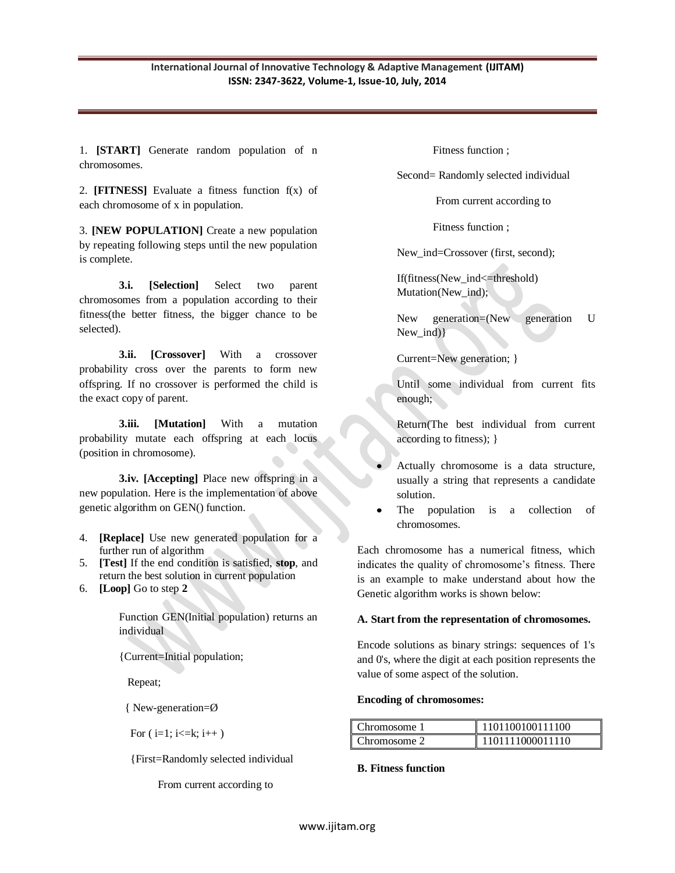1. **[START]** Generate random population of n chromosomes.

2. **[FITNESS]** Evaluate a fitness function f(x) of each chromosome of x in population.

3. **[NEW POPULATION]** Create a new population by repeating following steps until the new population is complete.

**3.i. [Selection]** Select two parent chromosomes from a population according to their fitness(the better fitness, the bigger chance to be selected).

**3.ii. [Crossover]** With a crossover probability cross over the parents to form new offspring. If no crossover is performed the child is the exact copy of parent.

**3.iii. [Mutation]** With a mutation probability mutate each offspring at each locus (position in chromosome).

**3.iv. [Accepting]** Place new offspring in a new population. Here is the implementation of above genetic algorithm on GEN() function.

- 4. **[Replace]** Use new generated population for a further run of algorithm
- 5. **[Test]** If the end condition is satisfied, **stop**, and return the best solution in current population
- 6. **[Loop]** Go to step **2**

Function GEN(Initial population) returns an individual

{Current=Initial population;

Repeat;

{ New-generation=Ø

For  $(i=1; i \le k; i++)$ 

{First=Randomly selected individual

From current according to

Fitness function ;

Second= Randomly selected individual

From current according to

Fitness function ;

New ind=Crossover (first, second);

If(fitness(New\_ind<=threshold) Mutation(New ind);

New generation=(New generation U New\_ind)}

Current=New generation; }

Until some individual from current fits enough;

Return(The best individual from current according to fitness); }

- Actually chromosome is a data structure, usually a string that represents a candidate solution.
- The population is a collection of chromosomes.

Each chromosome has a numerical fitness, which indicates the quality of chromosome's fitness. There is an example to make understand about how the Genetic algorithm works is shown below:

## **A. Start from the representation of chromosomes.**

Encode solutions as binary strings: sequences of 1's and 0's, where the digit at each position represents the value of some aspect of the solution.

#### **Encoding of chromosomes:**

| I<br>Chromosome 1 | 1101100100111100 |
|-------------------|------------------|
| I<br>Chromosome 2 | 1101111000011110 |

## **B. Fitness function**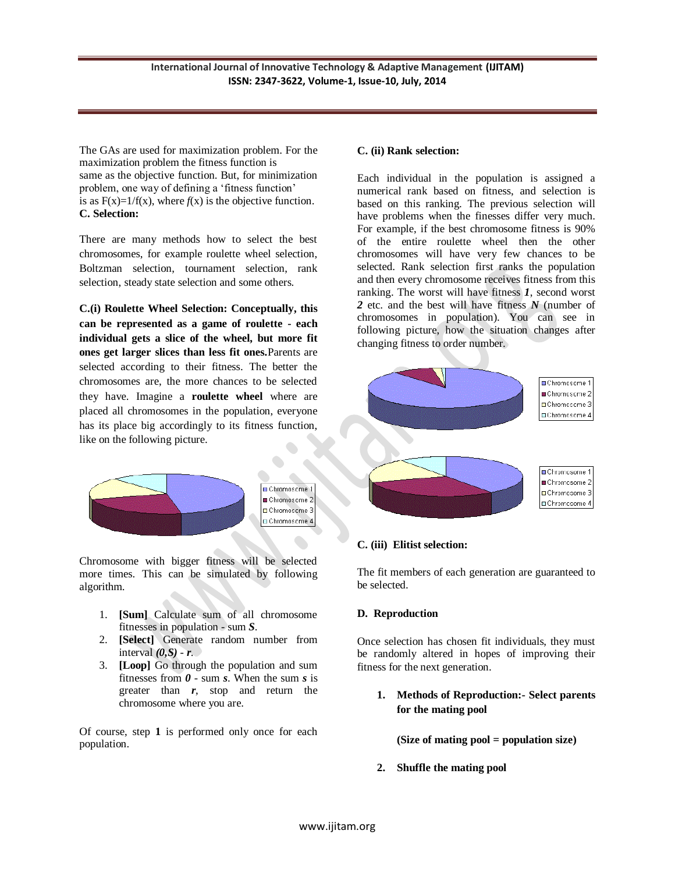The GAs are used for maximization problem. For the maximization problem the fitness function is same as the objective function. But, for minimization problem, one way of defining a 'fitness function' is as  $F(x)=1/f(x)$ , where  $f(x)$  is the objective function. **C. Selection:**

There are many methods how to select the best chromosomes, for example roulette wheel selection, Boltzman selection, tournament selection, rank selection, steady state selection and some others.

**C.(i) Roulette Wheel Selection: Conceptually, this can be represented as a game of roulette - each individual gets a slice of the wheel, but more fit ones get larger slices than less fit ones.**Parents are selected according to their fitness. The better the chromosomes are, the more chances to be selected they have. Imagine a **roulette wheel** where are placed all chromosomes in the population, everyone has its place big accordingly to its fitness function, like on the following picture.



Chromosome with bigger fitness will be selected more times. This can be simulated by following algorithm.

- 1. **[Sum]** Calculate sum of all chromosome fitnesses in population - sum *S*.
- 2. **[Select]** Generate random number from interval  $(0, S)$  -  $r$ .
- 3. **[Loop]** Go through the population and sum fitnesses from *0* - sum *s*. When the sum *s* is greater than *r*, stop and return the chromosome where you are.

Of course, step **1** is performed only once for each population.

## **C. (ii) Rank selection:**

Each individual in the population is assigned a numerical rank based on fitness, and selection is based on this ranking. The previous selection will have problems when the finesses differ very much. For example, if the best chromosome fitness is 90% of the entire roulette wheel then the other chromosomes will have very few chances to be selected. Rank selection first ranks the population and then every chromosome receives fitness from this ranking. The worst will have fitness *1*, second worst *2* etc. and the best will have fitness *N* (number of chromosomes in population). You can see in following picture, how the situation changes after changing fitness to order number.



#### **C. (iii) Elitist selection:**

The fit members of each generation are guaranteed to be selected.

#### **D. Reproduction**

Once selection has chosen fit individuals, they must be randomly altered in hopes of improving their fitness for the next generation.

**1. Methods of Reproduction:- Select parents for the mating pool** 

## **(Size of mating pool = population size)**

**2. Shuffle the mating pool**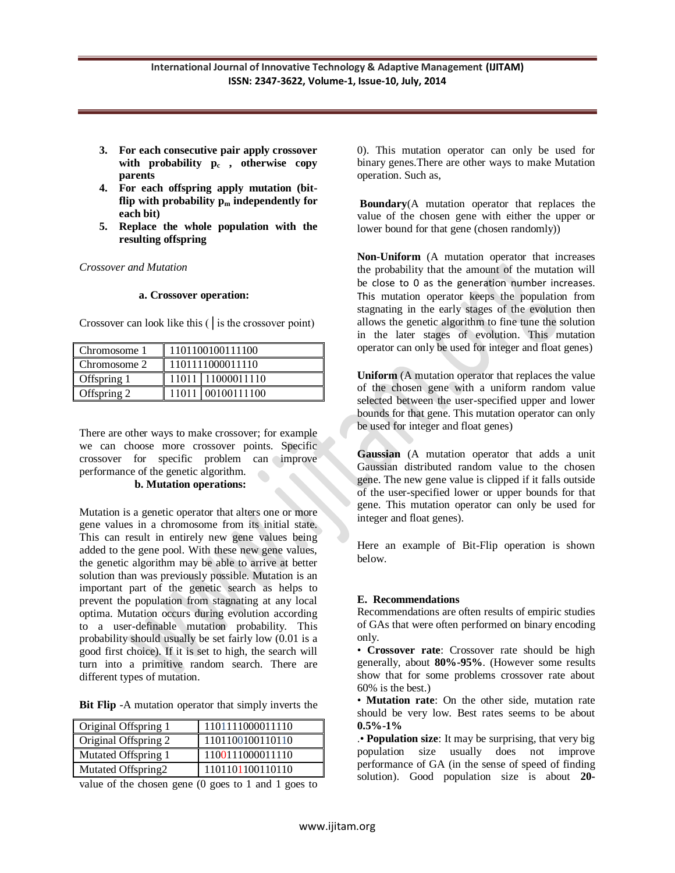- **3. For each consecutive pair apply crossover with probability p<sup>c</sup> , otherwise copy parents**
- **4. For each offspring apply mutation (bit**flip with probability  $p_m$  independently for **each bit)**
- **5. Replace the whole population with the resulting offspring**

*Crossover and Mutation*

#### **a. Crossover operation:**

| Chromosome 1 | 1101100100111100 |             |  |  |  |
|--------------|------------------|-------------|--|--|--|
| Chromosome 2 | 1101111000011110 |             |  |  |  |
| Offspring 1  | 11011            | 11000011110 |  |  |  |
| Offspring 2  |                  | 00100111100 |  |  |  |

Crossover can look like this (│is the crossover point)

There are other ways to make crossover; for example we can choose more crossover points. Specific crossover for specific problem can improve performance of the genetic algorithm.  **b. Mutation operations:**

Mutation is a genetic operator that alters one or more gene values in a chromosome from its initial state. This can result in entirely new gene values being added to the gene pool. With these new gene values, the genetic algorithm may be able to arrive at better solution than was previously possible. Mutation is an important part of the genetic search as helps to prevent the population from stagnating at any local optima. Mutation occurs during evolution according to a user-definable mutation probability. This probability should usually be set fairly low (0.01 is a good first choice). If it is set to high, the search will turn into a primitive random search. There are different types of mutation.

**Bit Flip** -A mutation operator that simply inverts the

| 1101100100110110 |
|------------------|
| 1100111000011110 |
| 1101101100110110 |
|                  |

value of the chosen gene (0 goes to 1 and 1 goes to

0). This mutation operator can only be used for binary genes.There are other ways to make Mutation operation. Such as,

**Boundary**(A mutation operator that replaces the value of the chosen gene with either the upper or lower bound for that gene (chosen randomly))

**Non-Uniform** (A mutation operator that increases the probability that the amount of the mutation will be close to 0 as the generation number increases. This mutation operator keeps the population from stagnating in the early stages of the evolution then allows the genetic algorithm to fine tune the solution in the later stages of evolution. This mutation operator can only be used for integer and float genes)

**Uniform** (A mutation operator that replaces the value of the chosen gene with a uniform random value selected between the user-specified upper and lower bounds for that gene. This mutation operator can only be used for integer and float genes)

**Gaussian** (A mutation operator that adds a unit Gaussian distributed random value to the chosen gene. The new gene value is clipped if it falls outside of the user-specified lower or upper bounds for that gene. This mutation operator can only be used for integer and float genes).

Here an example of Bit-Flip operation is shown below.

## **E. Recommendations**

Recommendations are often results of empiric studies of GAs that were often performed on binary encoding only.

• **Crossover rate**: Crossover rate should be high generally, about **80%-95%**. (However some results show that for some problems crossover rate about 60% is the best.)

• **Mutation rate**: On the other side, mutation rate should be very low. Best rates seems to be about **0.5%-1%**

.• **Population size**: It may be surprising, that very big population size usually does not improve performance of GA (in the sense of speed of finding solution). Good population size is about **20-**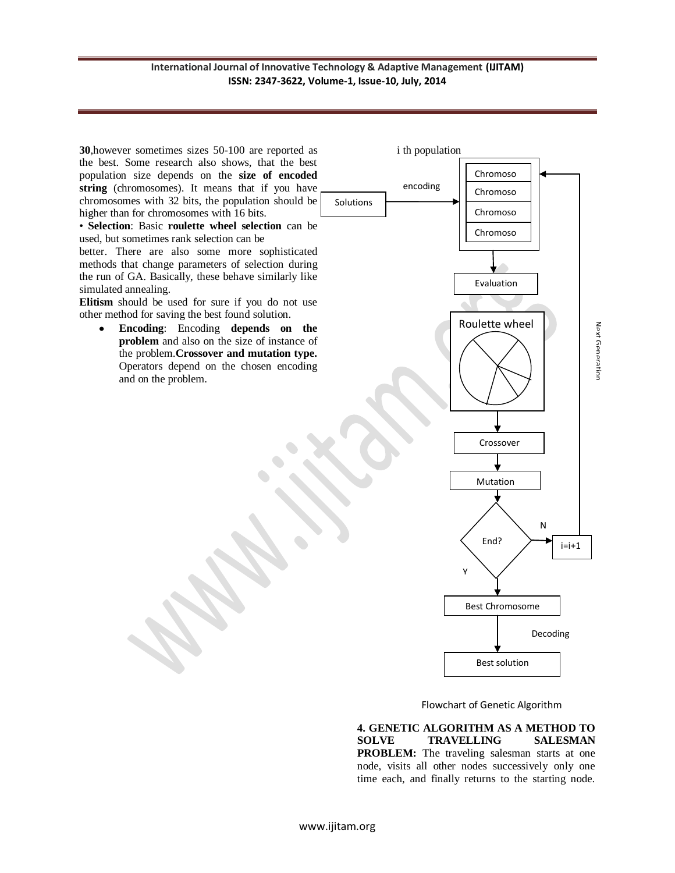## **International Journal of Innovative Technology & Adaptive Management (IJITAM) ISSN: 2347-3622, Volume-1, Issue-10, July, 2014**

**30**,however sometimes sizes 50-100 are reported as i th population the best. Some research also shows, that the best population size depends on the **size of encoded**  Chromoso encoding **string** (chromosomes). It means that if you have Chromoso chromosomes with 32 bits, the population should be Solutions higher than for chromosomes with 16 bits. Chromoso • **Selection**: Basic **roulette wheel selection** can be **Chromoso** used, but sometimes rank selection can be me better. There are also some more sophisticated methods that change parameters of selection during the run of GA. Basically, these behave similarly like Evaluation simulated annealing. **Elitism** should be used for sure if you do not use other method for saving the best found solution. Roulette wheel **Encoding**: Encoding **depends on the**  Next Generation Next Generation **problem** and also on the size of instance of the problem.**Crossover and mutation type.**  Operators depend on the chosen encoding and on the problem. Crossover Mutation N End?  $i=i+1$ Y Best Chromosome Decoding Best solution

Flowchart of Genetic Algorithm

**4. GENETIC ALGORITHM AS A METHOD TO SOLVE TRAVELLING SALESMAN PROBLEM:** The traveling salesman starts at one node, visits all other nodes successively only one time each, and finally returns to the starting node.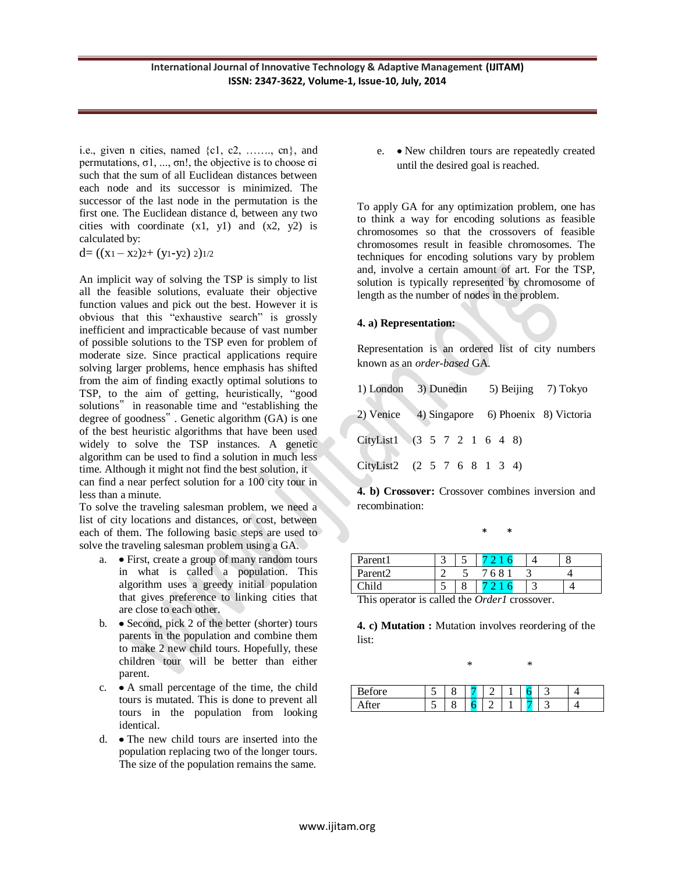i.e., given n cities, named  $\{c1, c2, \ldots, cn\}$ , and permutations, σ1, ..., σn!, the objective is to choose σi such that the sum of all Euclidean distances between each node and its successor is minimized. The successor of the last node in the permutation is the first one. The Euclidean distance d, between any two cities with coordinate  $(x1, y1)$  and  $(x2, y2)$  is calculated by:

$$
d = ((x_1 - x_2)2 + (y_1 - y_2) 2) \frac{1}{2}
$$

An implicit way of solving the TSP is simply to list all the feasible solutions, evaluate their objective function values and pick out the best. However it is obvious that this "exhaustive search" is grossly inefficient and impracticable because of vast number of possible solutions to the TSP even for problem of moderate size. Since practical applications require solving larger problems, hence emphasis has shifted from the aim of finding exactly optimal solutions to TSP, to the aim of getting, heuristically, "good solutions" in reasonable time and "establishing the degree of goodness" . Genetic algorithm (GA) is one of the best heuristic algorithms that have been used widely to solve the TSP instances. A genetic algorithm can be used to find a solution in much less time. Although it might not find the best solution, it can find a near perfect solution for a 100 city tour in less than a minute.

To solve the traveling salesman problem, we need a list of city locations and distances, or cost, between each of them. The following basic steps are used to solve the traveling salesman problem using a GA.

- a. First, create a group of many random tours in what is called a population. This algorithm uses a greedy initial population that gives preference to linking cities that are close to each other.
- b.  $\bullet$  Second, pick 2 of the better (shorter) tours parents in the population and combine them to make 2 new child tours. Hopefully, these children tour will be better than either parent.
- c. A small percentage of the time, the child tours is mutated. This is done to prevent all tours in the population from looking identical.
- d. The new child tours are inserted into the population replacing two of the longer tours. The size of the population remains the same.

e. • New children tours are repeatedly created until the desired goal is reached.

To apply GA for any optimization problem, one has to think a way for encoding solutions as feasible chromosomes so that the crossovers of feasible chromosomes result in feasible chromosomes. The techniques for encoding solutions vary by problem and, involve a certain amount of art. For the TSP, solution is typically represented by chromosome of length as the number of nodes in the problem.

## **4. a) Representation:**

Representation is an ordered list of city numbers known as an *order-based* GA.

|                             | 1) London 3) Dunedin 5) Beijing 7) Tokyo |  |  |  |  |  |  |                                               |
|-----------------------------|------------------------------------------|--|--|--|--|--|--|-----------------------------------------------|
|                             |                                          |  |  |  |  |  |  | 2) Venice 4) Singapore 6) Phoenix 8) Victoria |
| CityList1 (3 5 7 2 1 6 4 8) |                                          |  |  |  |  |  |  |                                               |
| CityList2 (2 5 7 6 8 1 3 4) |                                          |  |  |  |  |  |  |                                               |

**4. b) Crossover:** Crossover combines inversion and recombination:

\* \*

| Parent1                                                                                         |  |  |      |  |  |
|-------------------------------------------------------------------------------------------------|--|--|------|--|--|
| Parent <sub>2</sub>                                                                             |  |  | 7683 |  |  |
| Child                                                                                           |  |  |      |  |  |
| $\text{Th.1:}$ correction is selled that $\Omega_{\text{L}}I_{\text{L}}I_{\text{L}}$ correction |  |  |      |  |  |

This operator is called the *Order1* crossover.

**4. c) Mutation :** Mutation involves reordering of the list:

| ∗ | $\ast$ |
|---|--------|
|   |        |

| $\epsilon$<br>re<br>∼ |   | ັ |  |  |  |
|-----------------------|---|---|--|--|--|
|                       | ັ | ັ |  |  |  |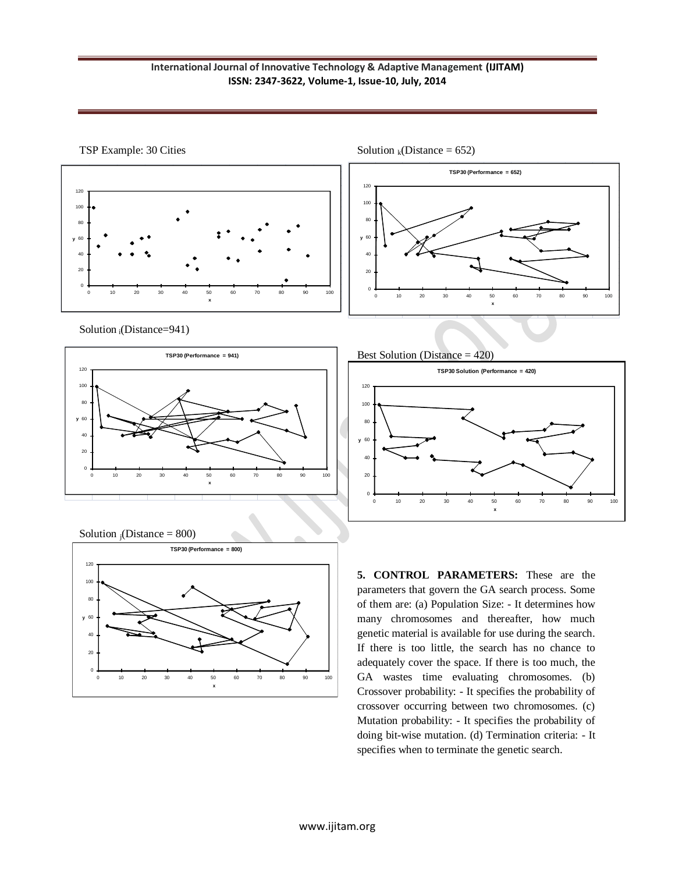



Solution <sub>i</sub>(Distance=941)







Solution  $_k(Distance = 652)$ 



**5. CONTROL PARAMETERS:** These are the parameters that govern the GA search process. Some of them are: (a) Population Size: - It determines how many chromosomes and thereafter, how much genetic material is available for use during the search. If there is too little, the search has no chance to adequately cover the space. If there is too much, the GA wastes time evaluating chromosomes. (b) Crossover probability: - It specifies the probability of crossover occurring between two chromosomes. (c) Mutation probability: - It specifies the probability of doing bit-wise mutation. (d) Termination criteria: - It specifies when to terminate the genetic search.